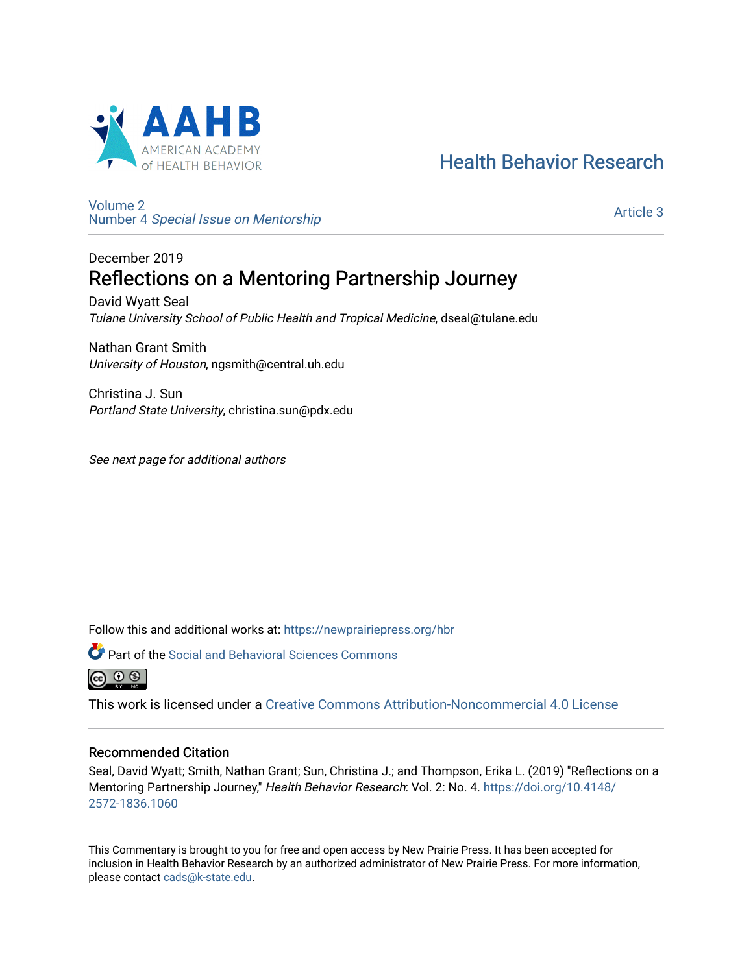

# [Health Behavior Research](https://newprairiepress.org/hbr)

[Volume 2](https://newprairiepress.org/hbr/vol2) Number 4 [Special Issue on Mentorship](https://newprairiepress.org/hbr/vol2/iss4) 

[Article 3](https://newprairiepress.org/hbr/vol2/iss4/3) 

## December 2019 Reflections on a Mentoring Partnership Journey

David Wyatt Seal Tulane University School of Public Health and Tropical Medicine, dseal@tulane.edu

Nathan Grant Smith University of Houston, ngsmith@central.uh.edu

Christina J. Sun Portland State University, christina.sun@pdx.edu

See next page for additional authors

Follow this and additional works at: [https://newprairiepress.org/hbr](https://newprairiepress.org/hbr?utm_source=newprairiepress.org%2Fhbr%2Fvol2%2Fiss4%2F3&utm_medium=PDF&utm_campaign=PDFCoverPages) 



**P** Part of the Social and Behavioral Sciences Commons



This work is licensed under a [Creative Commons Attribution-Noncommercial 4.0 License](https://creativecommons.org/licenses/by-nc/4.0/)

## Recommended Citation

Seal, David Wyatt; Smith, Nathan Grant; Sun, Christina J.; and Thompson, Erika L. (2019) "Reflections on a Mentoring Partnership Journey," Health Behavior Research: Vol. 2: No. 4. [https://doi.org/10.4148/](https://doi.org/10.4148/2572-1836.1060) [2572-1836.1060](https://doi.org/10.4148/2572-1836.1060) 

This Commentary is brought to you for free and open access by New Prairie Press. It has been accepted for inclusion in Health Behavior Research by an authorized administrator of New Prairie Press. For more information, please contact [cads@k-state.edu.](mailto:cads@k-state.edu)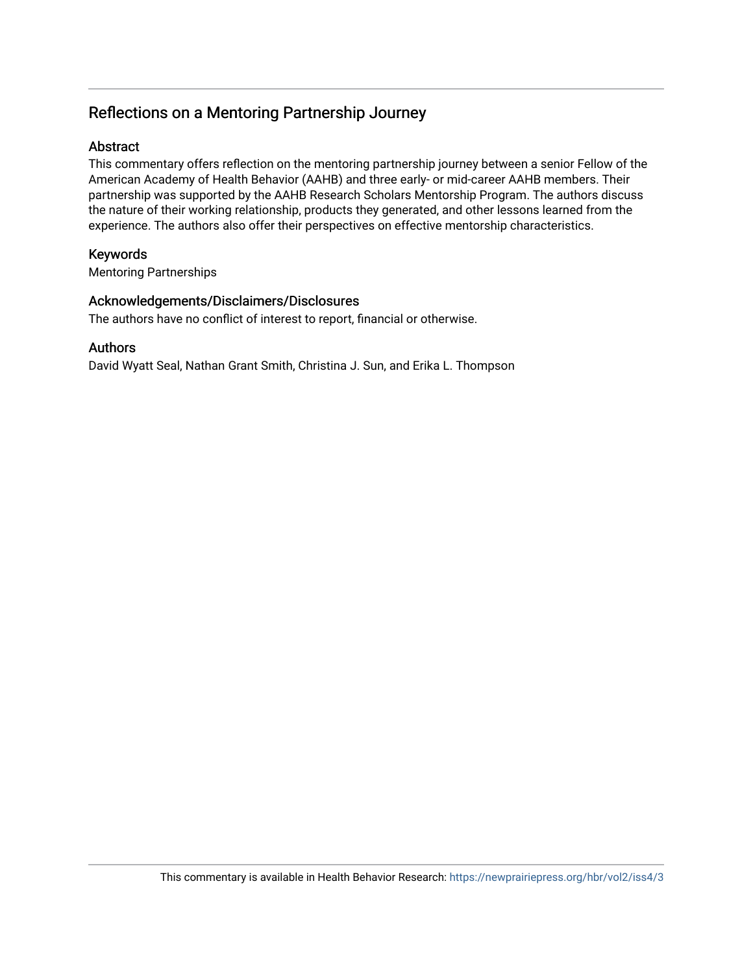## Reflections on a Mentoring Partnership Journey

## Abstract

This commentary offers reflection on the mentoring partnership journey between a senior Fellow of the American Academy of Health Behavior (AAHB) and three early- or mid-career AAHB members. Their partnership was supported by the AAHB Research Scholars Mentorship Program. The authors discuss the nature of their working relationship, products they generated, and other lessons learned from the experience. The authors also offer their perspectives on effective mentorship characteristics.

## Keywords

Mentoring Partnerships

## Acknowledgements/Disclaimers/Disclosures

The authors have no conflict of interest to report, financial or otherwise.

## Authors

David Wyatt Seal, Nathan Grant Smith, Christina J. Sun, and Erika L. Thompson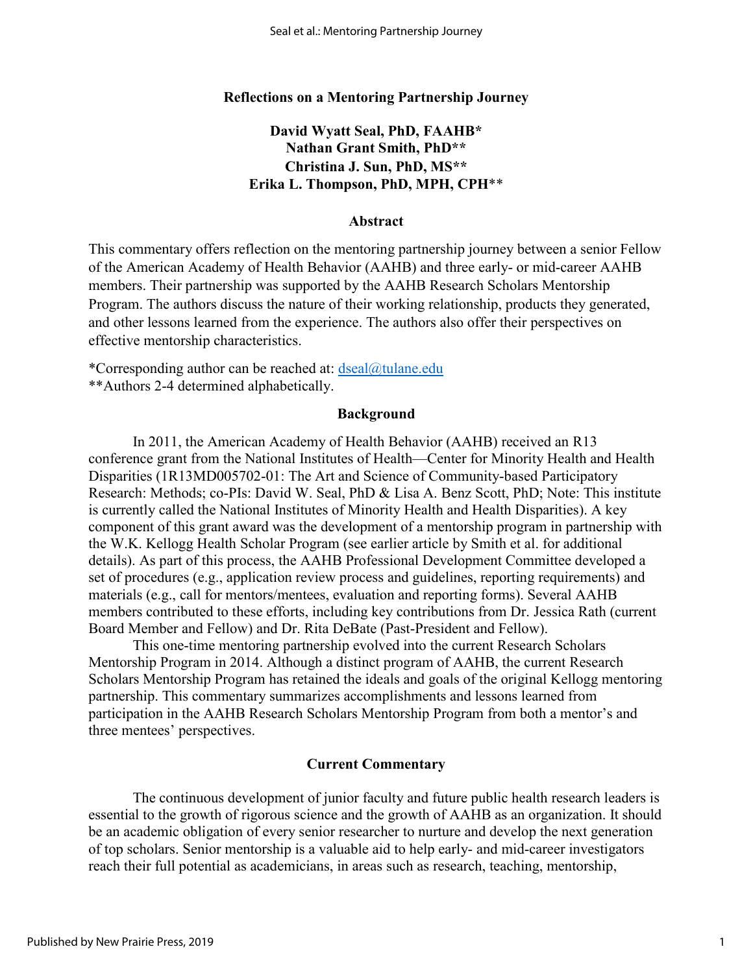### **Reflections on a Mentoring Partnership Journey**

## **David Wyatt Seal, PhD, FAAHB\* Nathan Grant Smith, PhD\*\* Christina J. Sun, PhD, MS\*\* Erika L. Thompson, PhD, MPH, CPH**\*\*

#### **Abstract**

This commentary offers reflection on the mentoring partnership journey between a senior Fellow of the American Academy of Health Behavior (AAHB) and three early- or mid-career AAHB members. Their partnership was supported by the AAHB Research Scholars Mentorship Program. The authors discuss the nature of their working relationship, products they generated, and other lessons learned from the experience. The authors also offer their perspectives on effective mentorship characteristics.

\*Corresponding author can be reached at:  $\text{desal}(\hat{\omega})$ tulane.edu

\*\*Authors 2-4 determined alphabetically.

#### **Background**

In 2011, the American Academy of Health Behavior (AAHB) received an R13 conference grant from the National Institutes of Health—Center for Minority Health and Health Disparities (1R13MD005702-01: The Art and Science of Community-based Participatory Research: Methods; co-PIs: David W. Seal, PhD & Lisa A. Benz Scott, PhD; Note: This institute is currently called the National Institutes of Minority Health and Health Disparities). A key component of this grant award was the development of a mentorship program in partnership with the W.K. Kellogg Health Scholar Program (see earlier article by Smith et al. for additional details). As part of this process, the AAHB Professional Development Committee developed a set of procedures (e.g., application review process and guidelines, reporting requirements) and materials (e.g., call for mentors/mentees, evaluation and reporting forms). Several AAHB members contributed to these efforts, including key contributions from Dr. Jessica Rath (current Board Member and Fellow) and Dr. Rita DeBate (Past-President and Fellow).

This one-time mentoring partnership evolved into the current Research Scholars Mentorship Program in 2014. Although a distinct program of AAHB, the current Research Scholars Mentorship Program has retained the ideals and goals of the original Kellogg mentoring partnership. This commentary summarizes accomplishments and lessons learned from participation in the AAHB Research Scholars Mentorship Program from both a mentor's and three mentees' perspectives.

### **Current Commentary**

The continuous development of junior faculty and future public health research leaders is essential to the growth of rigorous science and the growth of AAHB as an organization. It should be an academic obligation of every senior researcher to nurture and develop the next generation of top scholars. Senior mentorship is a valuable aid to help early- and mid-career investigators reach their full potential as academicians, in areas such as research, teaching, mentorship,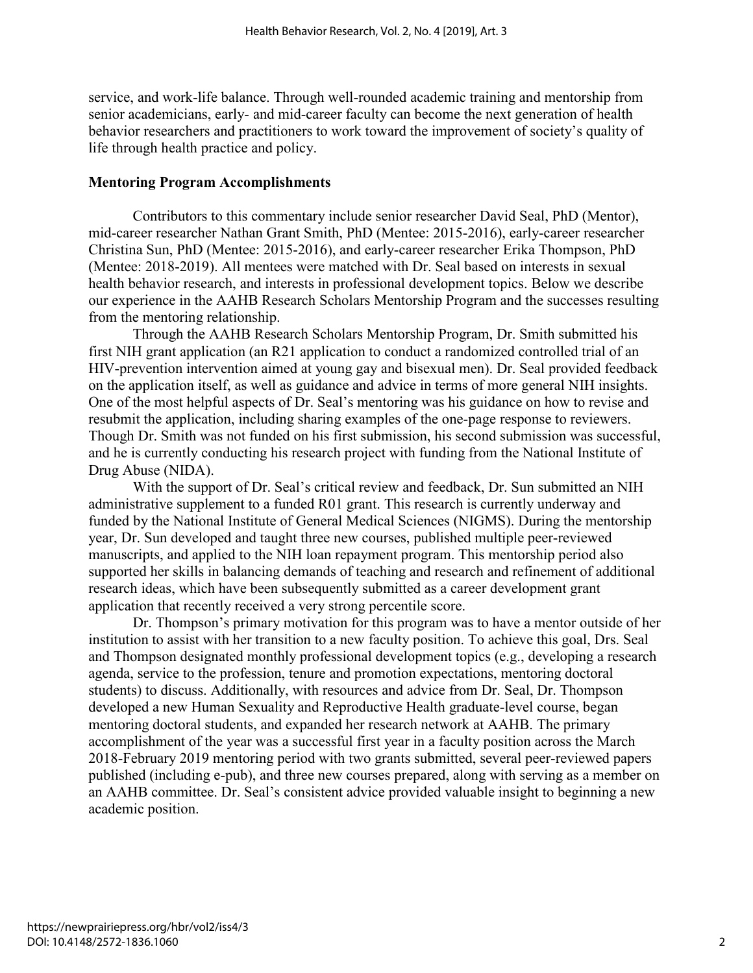service, and work-life balance. Through well-rounded academic training and mentorship from senior academicians, early- and mid-career faculty can become the next generation of health behavior researchers and practitioners to work toward the improvement of society's quality of life through health practice and policy.

#### **Mentoring Program Accomplishments**

Contributors to this commentary include senior researcher David Seal, PhD (Mentor), mid-career researcher Nathan Grant Smith, PhD (Mentee: 2015-2016), early-career researcher Christina Sun, PhD (Mentee: 2015-2016), and early-career researcher Erika Thompson, PhD (Mentee: 2018-2019). All mentees were matched with Dr. Seal based on interests in sexual health behavior research, and interests in professional development topics. Below we describe our experience in the AAHB Research Scholars Mentorship Program and the successes resulting from the mentoring relationship.

Through the AAHB Research Scholars Mentorship Program, Dr. Smith submitted his first NIH grant application (an R21 application to conduct a randomized controlled trial of an HIV-prevention intervention aimed at young gay and bisexual men). Dr. Seal provided feedback on the application itself, as well as guidance and advice in terms of more general NIH insights. One of the most helpful aspects of Dr. Seal's mentoring was his guidance on how to revise and resubmit the application, including sharing examples of the one-page response to reviewers. Though Dr. Smith was not funded on his first submission, his second submission was successful, and he is currently conducting his research project with funding from the National Institute of Drug Abuse (NIDA).

With the support of Dr. Seal's critical review and feedback, Dr. Sun submitted an NIH administrative supplement to a funded R01 grant. This research is currently underway and funded by the National Institute of General Medical Sciences (NIGMS). During the mentorship year, Dr. Sun developed and taught three new courses, published multiple peer-reviewed manuscripts, and applied to the NIH loan repayment program. This mentorship period also supported her skills in balancing demands of teaching and research and refinement of additional research ideas, which have been subsequently submitted as a career development grant application that recently received a very strong percentile score.

Dr. Thompson's primary motivation for this program was to have a mentor outside of her institution to assist with her transition to a new faculty position. To achieve this goal, Drs. Seal and Thompson designated monthly professional development topics (e.g., developing a research agenda, service to the profession, tenure and promotion expectations, mentoring doctoral students) to discuss. Additionally, with resources and advice from Dr. Seal, Dr. Thompson developed a new Human Sexuality and Reproductive Health graduate-level course, began mentoring doctoral students, and expanded her research network at AAHB. The primary accomplishment of the year was a successful first year in a faculty position across the March 2018-February 2019 mentoring period with two grants submitted, several peer-reviewed papers published (including e-pub), and three new courses prepared, along with serving as a member on an AAHB committee. Dr. Seal's consistent advice provided valuable insight to beginning a new academic position.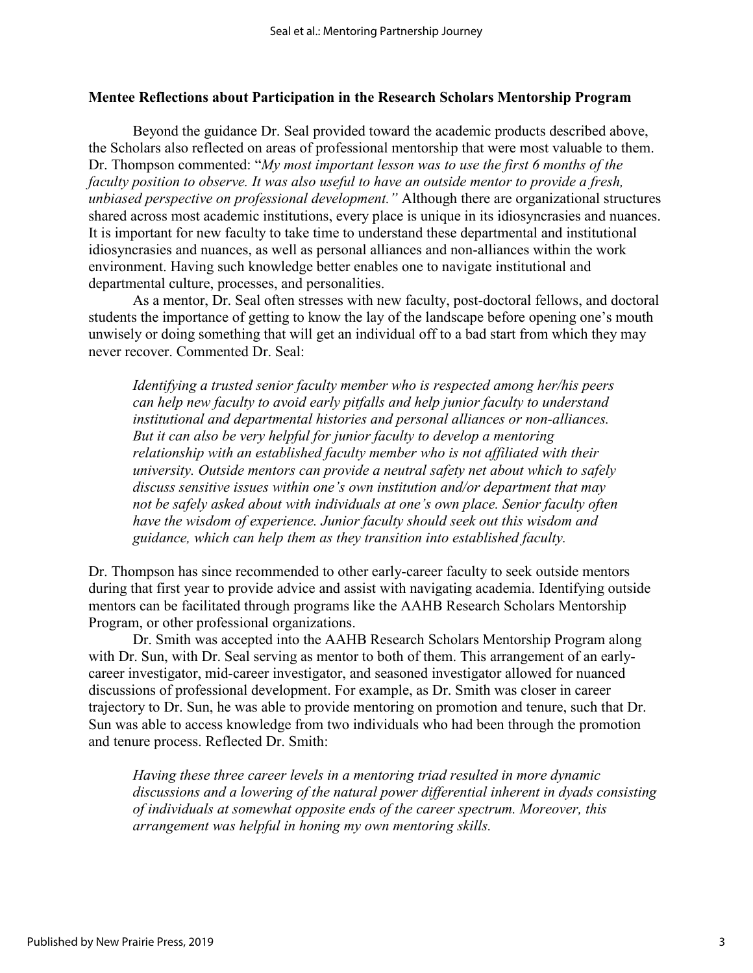### **Mentee Reflections about Participation in the Research Scholars Mentorship Program**

 Beyond the guidance Dr. Seal provided toward the academic products described above, the Scholars also reflected on areas of professional mentorship that were most valuable to them. Dr. Thompson commented: "*My most important lesson was to use the first 6 months of the faculty position to observe. It was also useful to have an outside mentor to provide a fresh, unbiased perspective on professional development."* Although there are organizational structures shared across most academic institutions, every place is unique in its idiosyncrasies and nuances. It is important for new faculty to take time to understand these departmental and institutional idiosyncrasies and nuances, as well as personal alliances and non-alliances within the work environment. Having such knowledge better enables one to navigate institutional and departmental culture, processes, and personalities.

As a mentor, Dr. Seal often stresses with new faculty, post-doctoral fellows, and doctoral students the importance of getting to know the lay of the landscape before opening one's mouth unwisely or doing something that will get an individual off to a bad start from which they may never recover. Commented Dr. Seal:

*Identifying a trusted senior faculty member who is respected among her/his peers can help new faculty to avoid early pitfalls and help junior faculty to understand institutional and departmental histories and personal alliances or non-alliances. But it can also be very helpful for junior faculty to develop a mentoring relationship with an established faculty member who is not affiliated with their university. Outside mentors can provide a neutral safety net about which to safely discuss sensitive issues within one's own institution and/or department that may not be safely asked about with individuals at one's own place. Senior faculty often have the wisdom of experience. Junior faculty should seek out this wisdom and guidance, which can help them as they transition into established faculty.* 

Dr. Thompson has since recommended to other early-career faculty to seek outside mentors during that first year to provide advice and assist with navigating academia. Identifying outside mentors can be facilitated through programs like the AAHB Research Scholars Mentorship Program, or other professional organizations.

Dr. Smith was accepted into the AAHB Research Scholars Mentorship Program along with Dr. Sun, with Dr. Seal serving as mentor to both of them. This arrangement of an earlycareer investigator, mid-career investigator, and seasoned investigator allowed for nuanced discussions of professional development. For example, as Dr. Smith was closer in career trajectory to Dr. Sun, he was able to provide mentoring on promotion and tenure, such that Dr. Sun was able to access knowledge from two individuals who had been through the promotion and tenure process. Reflected Dr. Smith:

*Having these three career levels in a mentoring triad resulted in more dynamic discussions and a lowering of the natural power differential inherent in dyads consisting of individuals at somewhat opposite ends of the career spectrum. Moreover, this arrangement was helpful in honing my own mentoring skills.*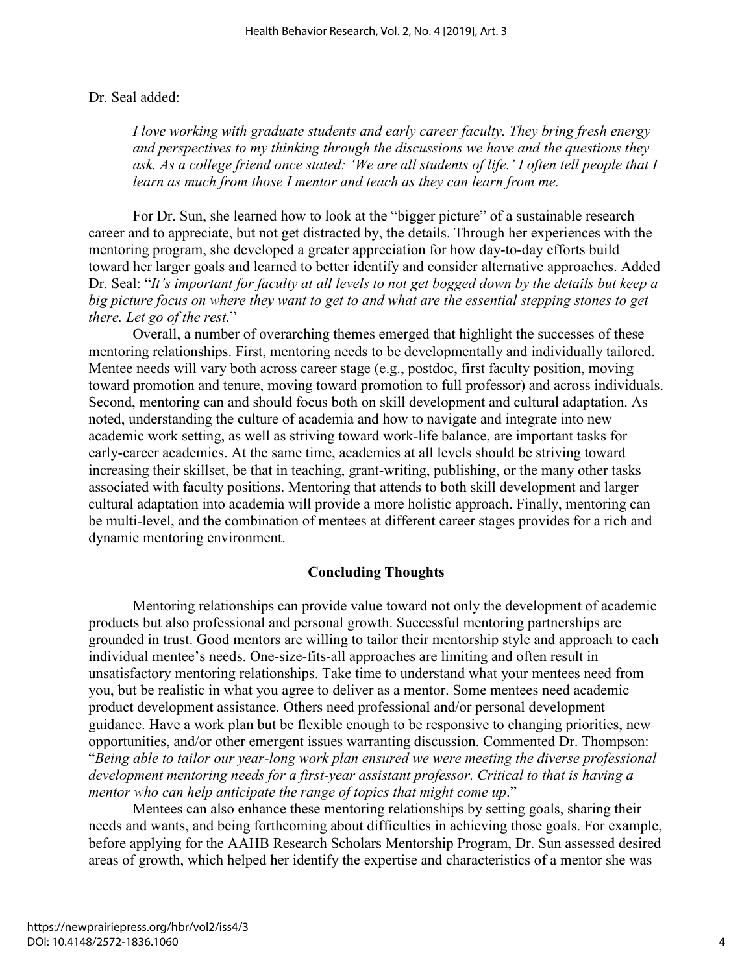### Dr. Seal added:

*I love working with graduate students and early career faculty. They bring fresh energy and perspectives to my thinking through the discussions we have and the questions they*  ask. As a college friend once stated: 'We are all students of life.' I often tell people that I *learn as much from those I mentor and teach as they can learn from me.* 

For Dr. Sun, she learned how to look at the "bigger picture" of a sustainable research career and to appreciate, but not get distracted by, the details. Through her experiences with the mentoring program, she developed a greater appreciation for how day-to-day efforts build toward her larger goals and learned to better identify and consider alternative approaches. Added Dr. Seal: "*It's important for faculty at all levels to not get bogged down by the details but keep a big picture focus on where they want to get to and what are the essential stepping stones to get there. Let go of the rest.*"

Overall, a number of overarching themes emerged that highlight the successes of these mentoring relationships. First, mentoring needs to be developmentally and individually tailored. Mentee needs will vary both across career stage (e.g., postdoc, first faculty position, moving toward promotion and tenure, moving toward promotion to full professor) and across individuals. Second, mentoring can and should focus both on skill development and cultural adaptation. As noted, understanding the culture of academia and how to navigate and integrate into new academic work setting, as well as striving toward work-life balance, are important tasks for early-career academics. At the same time, academics at all levels should be striving toward increasing their skillset, be that in teaching, grant-writing, publishing, or the many other tasks associated with faculty positions. Mentoring that attends to both skill development and larger cultural adaptation into academia will provide a more holistic approach. Finally, mentoring can be multi-level, and the combination of mentees at different career stages provides for a rich and dynamic mentoring environment.

### **Concluding Thoughts**

 Mentoring relationships can provide value toward not only the development of academic products but also professional and personal growth. Successful mentoring partnerships are grounded in trust. Good mentors are willing to tailor their mentorship style and approach to each individual mentee's needs. One-size-fits-all approaches are limiting and often result in unsatisfactory mentoring relationships. Take time to understand what your mentees need from you, but be realistic in what you agree to deliver as a mentor. Some mentees need academic product development assistance. Others need professional and/or personal development guidance. Have a work plan but be flexible enough to be responsive to changing priorities, new opportunities, and/or other emergent issues warranting discussion. Commented Dr. Thompson: "*Being able to tailor our year-long work plan ensured we were meeting the diverse professional development mentoring needs for a first-year assistant professor. Critical to that is having a mentor who can help anticipate the range of topics that might come up*."

Mentees can also enhance these mentoring relationships by setting goals, sharing their needs and wants, and being forthcoming about difficulties in achieving those goals. For example, before applying for the AAHB Research Scholars Mentorship Program, Dr. Sun assessed desired areas of growth, which helped her identify the expertise and characteristics of a mentor she was